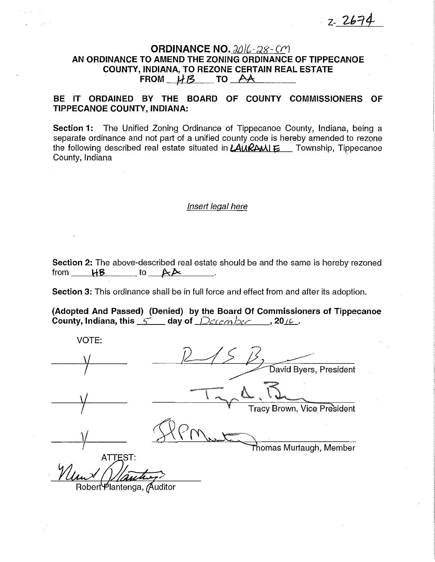$7 - 2674$ 

# ORDINANCE NO.  $2016 - 28 - 0$ AN ORDINANCE TO AMEND THE ZONING ORDINANCE OF TIPPECANOE COUNTY, INDIANA, TO REZONE CERTAIN REAL ESTATE FROM  $H\beta$  TO  $AA$

# BE IT ORDAINED BY THE BOARD OF COUNTY COMMISSIONERS OF TIPPECANOE COUNTY, INDIANA:

Section 1: The Unified Zoning Ordinance of Tippecanoe County, Indiana, being a separate ordinance and not part of a unified county code is hereby amended to rezone the following described real estate situated in  $\text{LALRAML}$  Township, Tippecanoe County, Indiana ·

## Insert legal here

Section 2: The above-described real estate should be and the same is hereby rezoned from  $HB$  to  $AA$ 

Section 3: This ordinance shall be in full force and effect from and after its adoption.

{Adopted And Passed) (Denied) by the Board Of Commissioners of Tippecanoe County, Indiana, this  $1/2$  day of  $($ *Qecem low* , 2016.

VOTE:  $\sqrt{ }$ David Byers, President **Tracy Brown, Vice President**  $271111$  and  $22$ **ATTEST:** Robert Plantenga, Auditor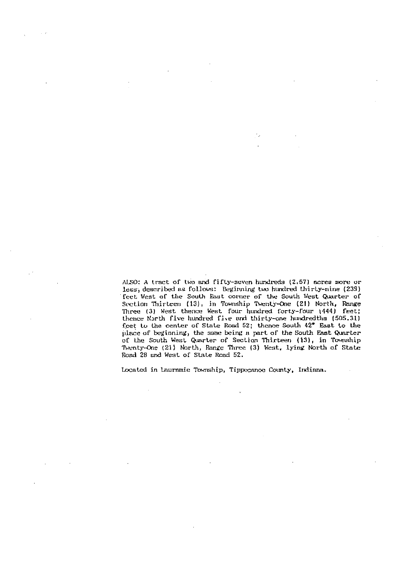ALSO: A tract of two and fifty-seven hundreds (2,57) acres more or less, described as follows: Beginning two hundred thirty-nine (239) feet West of the South East corner of the South West Quarter of Section Thirteen (13), in Township Twenty-One (21) North, Range<br>Three (3) West thence West four hundred forty-four (444) feet; thence North five hundred five and thirty-one hundredths (505.31) feet to the center of State Road 52; thence South 42\* East to the place of beginning, the same being a part of the South East Quarter of the South West Quarter of Section Thirteen (13), in Township Twenty-One (21) North, Range Three (3) West, lying North of State Road 28 and West of State Road 52.

٠,

Located in lauramie Township, Tippecanoe County, Indiana.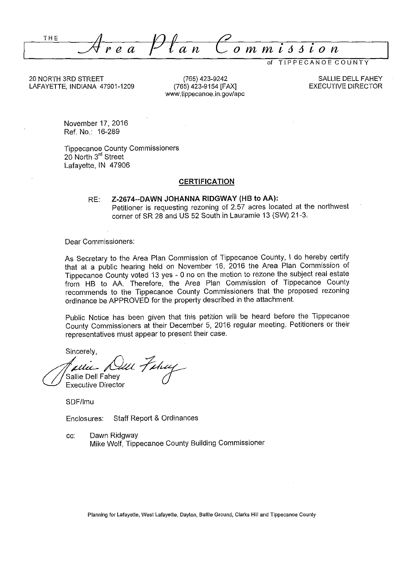$A_{re}$   $P$   $\ell$  an  $C$  ommission

of TIPPECANOE COUNTY

20 NORTH 3RD STREET LAFAYETTE, INDIANA 47901-1209

(765) 423-9242 (765) 423-9154 [FAX] www.tippecanoe.in.gov/ape

SALLIE DELL FAHEY EXECUTIVE DIRECTOR

November 17, 2016 Ref. No.: 16-289

Tippecanoe County Commissioners 20 North 3<sup>rd</sup> Street Lafayette, IN 47906

### **CERTIFICATION**

RE: **Z-2674--DAWN JOHANNA RIDGWAY (HB to AA):**  Petitioner is requesting rezoning of 2.57 acres located at the northwest corner of SR 28 and US 52 South in Lauramie 13 (SW) 21-3.

Dear Commissioners:

As Secretary to the Area Plan Commission of Tippecanoe County, I do hereby certify that at a public hearing held on November 16, 2016 the Area Plan Commission of Tippecanoe County voted 13 yes - 0 no on the motion to rezone the subject real estate from HB to AA. Therefore, the Area Plan Commission of Tippecanoe County recommends to the Tippecanoe County Commissioners that the proposed rezoning ordinance be APPROVED for the property described in the attachment.

Public Notice has been given that this petition will be heard before the Tippecanoe County Commissioners at their December 5, 2016 regular meeting. Petitioners or their representatives must appear to present their case.

Sincerely,

alle Killl Tahuy lie Dell Fahey Executive Director

SDF/lmu

Enclosures: Staff Report & Ordinances

cc: Dawn Ridgway Mike Wolf, Tippecanoe County Building Commissioner

Planning for Lafayette, West Lafayette, Dayton, Battle Ground, Clarks Hill and Tippecanoe County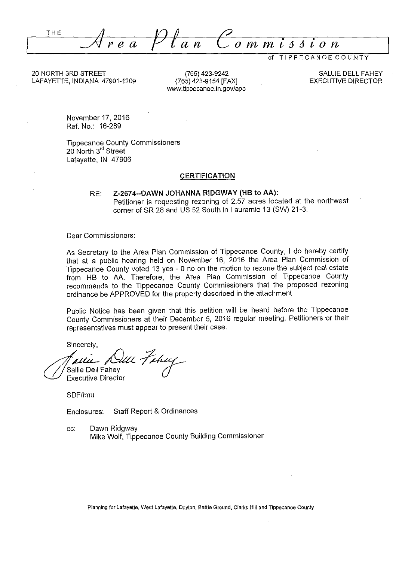THE  $\mathcal{A}$ rea  $\sigma$  m m

of TIPPECANOE COUNTY

20 NORTH 3RD STREET LAFAYETTE, INDIANA 47901-1209

(765) 423-9242 (765) 423-9154 [FAX] www.tippecanoe.in.gov/apc

SALLIE DELL FAHEY EXECUTIVE DIRECTOR

November 17, 2016 Ref. No.: 16-289

Tippecanoe County Commissioners 20 North 3<sup>rd</sup> Street Lafayette, JN 47906

### **CERTIFICATION**

RE: **Z-2674--DAWN JOHANNA RIDGWAY (HB to AA):**  Petitioner is requesting rezoning of 2.57 acres located at the northwest corner of SR 28 and US 52 South in Lauramie 13 (SW) 21-3.

Dear Commissioners:

As Secretary to the Area Plan Commission of Tippecanoe County, I do hereby certify that at a public hearing held on November 16, 2016 the Area Plan Commission of Tippecanoe County voted 13 yes - 0 no on the motion to rezone the subject real estate from HB to AA. Therefore, the Area Plan Commission of Tippecanoe County recommends to the Tippecanoe County Commissioners that the proposed rezoning ordinance be APPROVED for the property described in the attachment.

Public Notice has been given that this petition will be heard before the Tippecanoe County Commissioners at their December 5, 2016 regular meeting. Petitioners or their representatives must appear to present their case.

Sincerely,

 $^{4}$ allie Dell Fahey Executive Director

SDF/lmu

Enclosures: Staff Report & Ordinances

cc: Dawn Ridgway Mike Wolf, Tippecanoe County Building Commissioner

**Planning for Lafayette,. West Lafayette, Dayton, Battle Ground, Clarks Hill and Tippecanoe County**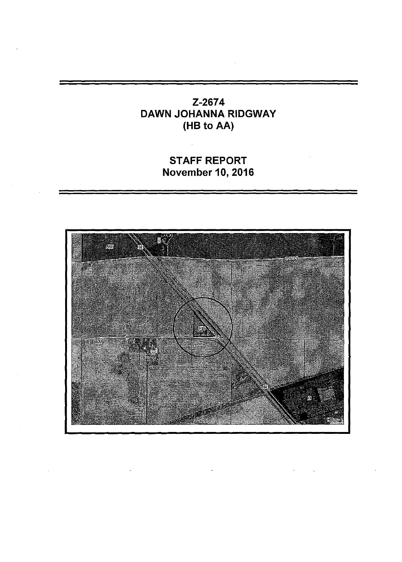# Z-2674 DAWN JOHANNA RIDGWAY (HB to AA)

# STAFF REPORT November 10, 2016